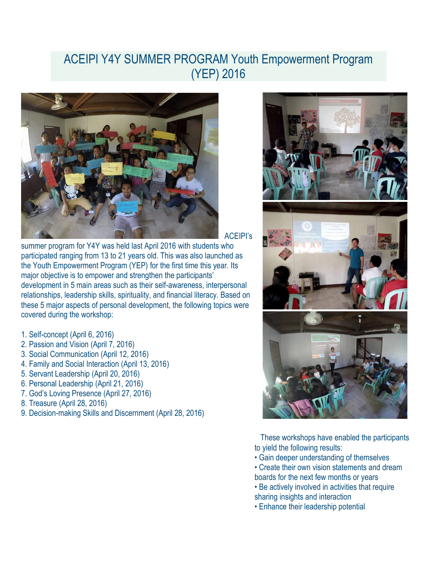## ACEIPI Y4Y SUMMER PROGRAM Youth Empowerment Program (YEP) 2016



ACEIPI's

summer program for Y4Y was held last April 2016 with students who participated ranging from 13 to 21 years old. This was also launched as the Youth Empowerment Program (YEP) for the first time this year. Its major objective is to empower and strengthen the participants' development in 5 main areas such as their self-awareness, interpersonal relationships, leadership skills, spirituality, and financial literacy. Based on these 5 major aspects of personal development, the following topics were covered during the workshop:

- 1. Self-concept (April 6, 2016)
- 2. Passion and Vision (April 7, 2016)
- 3. Social Communication (April 12, 2016)
- 4. Family and Social Interaction (April 13, 2016)
- 5. Servant Leadership (April 20, 2016)
- 6. Personal Leadership (April 21, 2016)
- 7. God's Loving Presence (April 27, 2016)
- 8. Treasure (April 28, 2016)
- 9. Decision-making Skills and Discernment (April 28, 2016)



 These workshops have enabled the participants to yield the following results:

- Gain deeper understanding of themselves
- Create their own vision statements and dream boards for the next few months or years
- Be actively involved in activities that require sharing insights and interaction
- Enhance their leadership potential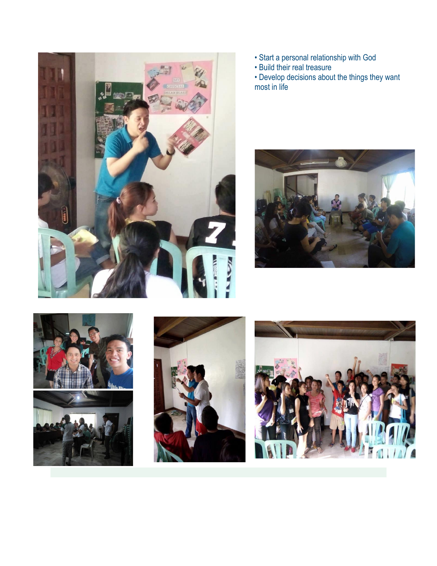

- Start a personal relationship with God
- Build their real treasure

• Develop decisions about the things they want most in life







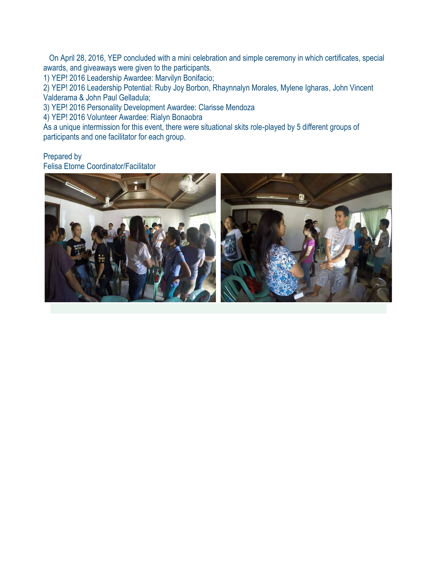On April 28, 2016, YEP concluded with a mini celebration and simple ceremony in which certificates, special awards, and giveaways were given to the participants.

1) YEP! 2016 Leadership Awardee: Marvilyn Bonifacio;

2) YEP! 2016 Leadership Potential: Ruby Joy Borbon, Rhaynnalyn Morales, Mylene Igharas, John Vincent Valderama & John Paul Gelladula;

3) YEP! 2016 Personality Development Awardee: Clarisse Mendoza

4) YEP! 2016 Volunteer Awardee: Rialyn Bonaobra

As a unique intermission for this event, there were situational skits role-played by 5 different groups of participants and one facilitator for each group.

## Prepared by

Felisa Etorne Coordinator/Facilitator